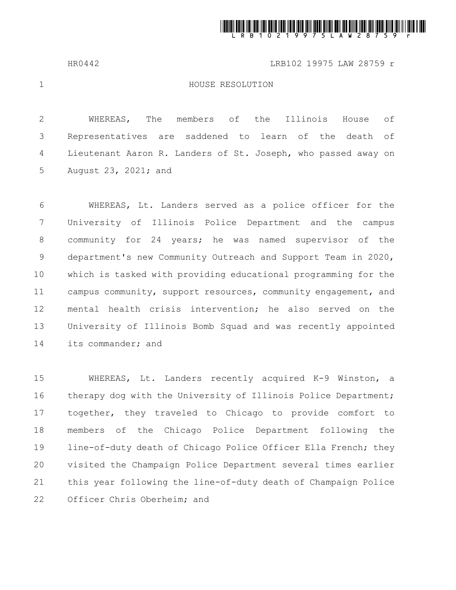

HR0442 LRB102 19975 LAW 28759 r

1

## HOUSE RESOLUTION

WHEREAS, The members of the Illinois House of Representatives are saddened to learn of the death of Lieutenant Aaron R. Landers of St. Joseph, who passed away on August 23, 2021; and 2 3 4 5

WHEREAS, Lt. Landers served as a police officer for the University of Illinois Police Department and the campus community for 24 years; he was named supervisor of the department's new Community Outreach and Support Team in 2020, which is tasked with providing educational programming for the campus community, support resources, community engagement, and mental health crisis intervention; he also served on the University of Illinois Bomb Squad and was recently appointed its commander; and 6 7 8 9 10 11 12 13 14

WHEREAS, Lt. Landers recently acquired K-9 Winston, a therapy dog with the University of Illinois Police Department; together, they traveled to Chicago to provide comfort to members of the Chicago Police Department following the line-of-duty death of Chicago Police Officer Ella French; they visited the Champaign Police Department several times earlier this year following the line-of-duty death of Champaign Police Officer Chris Oberheim; and 15 16 17 18 19 20 21 22